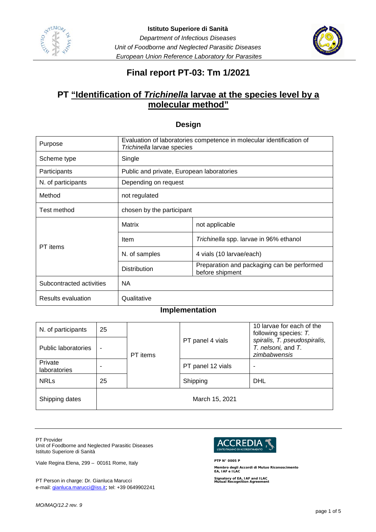



# **Final report PT-03: Tm 1/2021**

# **PT "Identification of** *Trichinella* **larvae at the species level by a molecular method"**

#### **Design**

| Purpose                  | Evaluation of laboratories competence in molecular identification of<br>Trichinella larvae species |                                                               |  |  |
|--------------------------|----------------------------------------------------------------------------------------------------|---------------------------------------------------------------|--|--|
| Scheme type              | Single                                                                                             |                                                               |  |  |
| Participants             | Public and private, European laboratories                                                          |                                                               |  |  |
| N. of participants       | Depending on request                                                                               |                                                               |  |  |
| Method                   | not regulated                                                                                      |                                                               |  |  |
| Test method              | chosen by the participant                                                                          |                                                               |  |  |
|                          | Matrix                                                                                             | not applicable                                                |  |  |
|                          | Item                                                                                               | Trichinella spp. larvae in 96% ethanol                        |  |  |
| PT items                 | N. of samples                                                                                      | 4 vials (10 larvae/each)                                      |  |  |
|                          | <b>Distribution</b>                                                                                | Preparation and packaging can be performed<br>before shipment |  |  |
| Subcontracted activities | <b>NA</b>                                                                                          |                                                               |  |  |
| Results evaluation       | Qualitative                                                                                        |                                                               |  |  |

### **Implementation**

| N. of participants             | 25             |          | PT panel 4 vials  | 10 larvae for each of the<br>following species: T.<br>spiralis, T. pseudospiralis,<br>T. nelsoni, and T.<br>zimbabwensis |  |
|--------------------------------|----------------|----------|-------------------|--------------------------------------------------------------------------------------------------------------------------|--|
| Public laboratories            | $\blacksquare$ | PT items |                   |                                                                                                                          |  |
| Private<br><b>laboratories</b> | ٠              |          | PT panel 12 vials |                                                                                                                          |  |
| <b>NRLs</b>                    | 25             |          | Shipping          | DHL                                                                                                                      |  |
| Shipping dates                 |                |          | March 15, 2021    |                                                                                                                          |  |

PT Provider

Unit of Foodborne and Neglected Parasitic Diseases Istituto Superiore di Sanità

Viale Regina Elena, 299 – 00161 Rome, Italy

PT Person in charge: Dr. Gianluca Marucci e-mail: [gianluca.marucci@iss.it](mailto:gianluca.marucci@iss.it); tel: +39 0649902241



**PTP N° 0005 P Membro degli Accordi di Mutuo Riconoscimento EA, IAF e ILAC**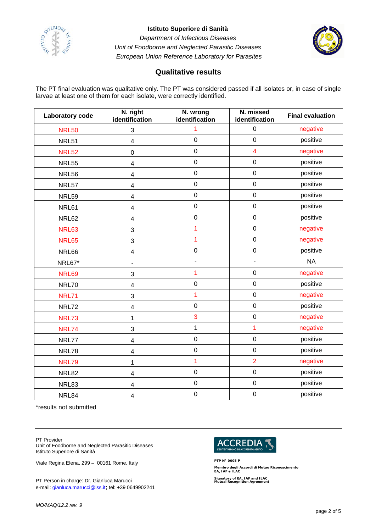



## **Qualitative results**

The PT final evaluation was qualitative only. The PT was considered passed if all isolates or, in case of single larvae at least one of them for each isolate, were correctly identified.

| Laboratory code | N. right<br>identification   | N. wrong<br>identification | N. missed<br>identification | <b>Final evaluation</b> |
|-----------------|------------------------------|----------------------------|-----------------------------|-------------------------|
| <b>NRL50</b>    | $\sqrt{3}$                   | 1                          | $\pmb{0}$                   | negative                |
| <b>NRL51</b>    | $\overline{\mathbf{4}}$      | $\mathbf 0$                | $\mathbf 0$                 | positive                |
| <b>NRL52</b>    | $\boldsymbol{0}$             | $\mathsf 0$                | $\overline{\mathbf{4}}$     | negative                |
| <b>NRL55</b>    | $\overline{\mathbf{4}}$      | $\mathsf 0$                | $\pmb{0}$                   | positive                |
| <b>NRL56</b>    | $\overline{\mathbf{4}}$      | $\mathsf 0$                | $\pmb{0}$                   | positive                |
| NRL57           | $\overline{\mathbf{4}}$      | $\mathbf 0$                | $\mathbf 0$                 | positive                |
| <b>NRL59</b>    | $\overline{\mathbf{4}}$      | $\mathbf 0$                | $\pmb{0}$                   | positive                |
| NRL61           | $\overline{\mathbf{4}}$      | $\mathsf 0$                | $\pmb{0}$                   | positive                |
| NRL62           | $\overline{\mathbf{4}}$      | $\boldsymbol{0}$           | $\pmb{0}$                   | positive                |
| <b>NRL63</b>    | $\mathbf{3}$                 | 1                          | $\pmb{0}$                   | negative                |
| <b>NRL65</b>    | 3                            | $\overline{1}$             | $\pmb{0}$                   | negative                |
| NRL66           | $\overline{\mathbf{4}}$      | $\mathbf 0$                | $\pmb{0}$                   | positive                |
| NRL67*          | $\qquad \qquad \blacksquare$ | $\blacksquare$             | $\overline{a}$              | <b>NA</b>               |
| <b>NRL69</b>    | 3                            | 1                          | $\pmb{0}$                   | negative                |
| <b>NRL70</b>    | $\overline{\mathbf{4}}$      | $\mathbf 0$                | $\pmb{0}$                   | positive                |
| <b>NRL71</b>    | 3                            | 1                          | $\pmb{0}$                   | negative                |
| <b>NRL72</b>    | $\overline{\mathbf{4}}$      | $\mathbf 0$                | $\pmb{0}$                   | positive                |
| <b>NRL73</b>    | 1                            | 3                          | $\pmb{0}$                   | negative                |
| <b>NRL74</b>    | 3                            | 1                          | $\overline{1}$              | negative                |
| NRL77           | $\overline{\mathbf{4}}$      | $\mathbf 0$                | $\pmb{0}$                   | positive                |
| NRL78           | $\overline{\mathbf{4}}$      | $\mathsf 0$                | $\pmb{0}$                   | positive                |
| <b>NRL79</b>    | 1                            | 1                          | $\overline{2}$              | negative                |
| <b>NRL82</b>    | $\overline{\mathbf{4}}$      | $\mathbf 0$                | $\mathbf 0$                 | positive                |
| NRL83           | 4                            | $\mathsf 0$                | $\pmb{0}$                   | positive                |
| NRL84           | $\overline{\mathbf{4}}$      | $\mathbf 0$                | $\mbox{O}$                  | positive                |

\*results not submitted

PT Provider

Unit of Foodborne and Neglected Parasitic Diseases Istituto Superiore di Sanità

Viale Regina Elena, 299 – 00161 Rome, Italy

PT Person in charge: Dr. Gianluca Marucci e-mail: [gianluca.marucci@iss.it](mailto:gianluca.marucci@iss.it); tel: +39 0649902241



**PTP N° 0005 P Membro degli Accordi di Mutuo Riconoscimento EA, IAF e ILAC**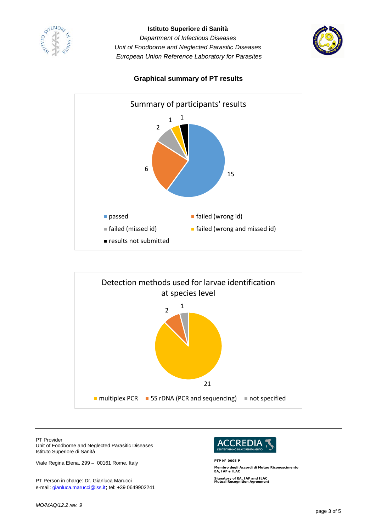





## **Graphical summary of PT results**



PT Provider

Unit of Foodborne and Neglected Parasitic Diseases Istituto Superiore di Sanità

Viale Regina Elena, 299 – 00161 Rome, Italy

PT Person in charge: Dr. Gianluca Marucci e-mail: [gianluca.marucci@iss.it](mailto:gianluca.marucci@iss.it); tel: +39 0649902241



**PTP N° 0005 P Membro degli Accordi di Mutuo Riconoscimento EA, IAF e ILAC**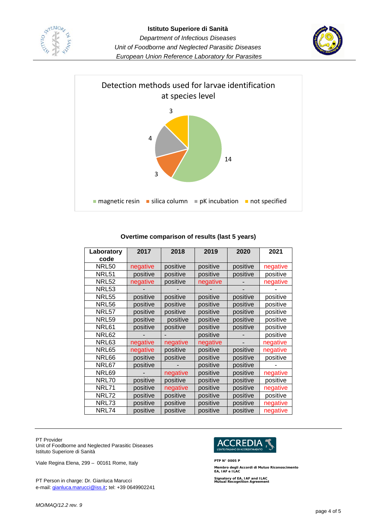





#### **Overtime comparison of results (last 5 years)**

| Laboratory<br>code | 2017     | 2018     | 2019     | 2020     | 2021     |
|--------------------|----------|----------|----------|----------|----------|
| <b>NRL50</b>       | negative | positive | positive | positive | negative |
| NRL51              | positive | positive | positive | positive | positive |
| <b>NRL52</b>       | negative | positive | negative |          | negative |
| NRL53              |          |          |          |          |          |
| <b>NRL55</b>       | positive | positive | positive | positive | positive |
| <b>NRL56</b>       | positive | positive | positive | positive | positive |
| NRL57              | positive | positive | positive | positive | positive |
| NRL59              | positive | positive | positive | positive | positive |
| NRL61              | positive | positive | positive | positive | positive |
| <b>NRL62</b>       |          |          | positive |          | positive |
| NRL63              | negative | negative | negative |          | negative |
| NRL65              | negative | positive | positive | positive | negative |
| <b>NRL66</b>       | positive | positive | positive | positive | positive |
| NRL67              | positive |          | positive | positive |          |
| NRL69              |          | negative | positive | positive | negative |
| NRL70              | positive | positive | positive | positive | positive |
| <b>NRL71</b>       | positive | negative | positive | positive | negative |
| NRL72              | positive | positive | positive | positive | positive |
| NRL73              | positive | positive | positive | positive | negative |
| NRL74              | positive | positive | positive | positive | negative |

PT Provider

Unit of Foodborne and Neglected Parasitic Diseases Istituto Superiore di Sanità

Viale Regina Elena, 299 – 00161 Rome, Italy

PT Person in charge: Dr. Gianluca Marucci e-mail: [gianluca.marucci@iss.it](mailto:gianluca.marucci@iss.it); tel: +39 0649902241



**PTP N° 0005 P Membro degli Accordi di Mutuo Riconoscimento EA, IAF e ILAC**